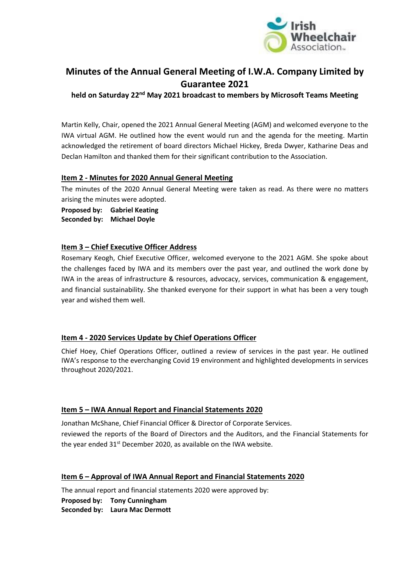

# **Minutes of the Annual General Meeting of I.W.A. Company Limited by Guarantee 2021**

**held on Saturday 22nd May 2021 broadcast to members by Microsoft Teams Meeting**

Martin Kelly, Chair, opened the 2021 Annual General Meeting (AGM) and welcomed everyone to the IWA virtual AGM. He outlined how the event would run and the agenda for the meeting. Martin acknowledged the retirement of board directors Michael Hickey, Breda Dwyer, Katharine Deas and Declan Hamilton and thanked them for their significant contribution to the Association.

# **Item 2 - Minutes for 2020 Annual General Meeting**

The minutes of the 2020 Annual General Meeting were taken as read. As there were no matters arising the minutes were adopted.

**Proposed by: Gabriel Keating Seconded by: Michael Doyle**

# **Item 3 – Chief Executive Officer Address**

Rosemary Keogh, Chief Executive Officer, welcomed everyone to the 2021 AGM. She spoke about the challenges faced by IWA and its members over the past year, and outlined the work done by IWA in the areas of infrastructure & resources, advocacy, services, communication & engagement, and financial sustainability. She thanked everyone for their support in what has been a very tough year and wished them well.

# **Item 4 - 2020 Services Update by Chief Operations Officer**

Chief Hoey, Chief Operations Officer, outlined a review of services in the past year. He outlined IWA's response to the everchanging Covid 19 environment and highlighted developments in services throughout 2020/2021.

# **Item 5 – IWA Annual Report and Financial Statements 2020**

Jonathan McShane, Chief Financial Officer & Director of Corporate Services. reviewed the reports of the Board of Directors and the Auditors, and the Financial Statements for the year ended  $31^{st}$  December 2020, as available on the IWA website.

# **Item 6 – Approval of IWA Annual Report and Financial Statements 2020**

The annual report and financial statements 2020 were approved by:

**Proposed by: Tony Cunningham Seconded by: Laura Mac Dermott**